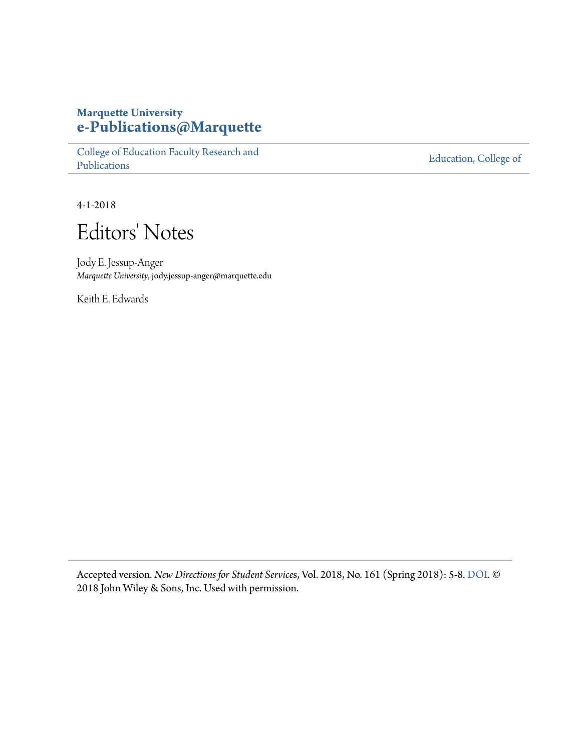#### **Marquette University [e-Publications@Marquette](https://epublications.marquette.edu)**

[College of Education Faculty Research and](https://epublications.marquette.edu/edu_fac) [Publications](https://epublications.marquette.edu/edu_fac)

[Education, College of](https://epublications.marquette.edu/education)

4-1-2018

## Editors' Notes

Jody E. Jessup-Anger *Marquette University*, jody.jessup-anger@marquette.edu

Keith E. Edwards

Accepted version*. New Directions for Student Service*s, Vol. 2018, No. 161 (Spring 2018): 5-8. [DOI](https://doi.org/10.1002/ss.20248). © 2018 John Wiley & Sons, Inc. Used with permission.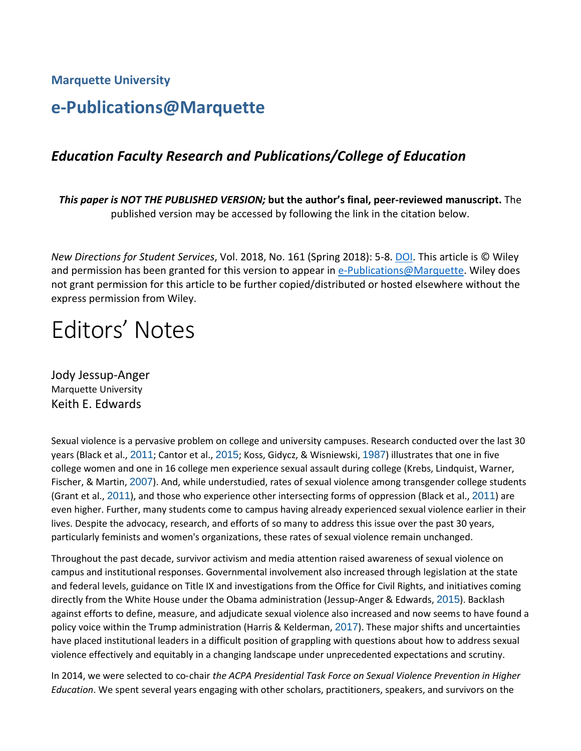**Marquette University**

### **e-Publications@Marquette**

#### *Education Faculty Research and Publications/College of Education*

*This paper is NOT THE PUBLISHED VERSION;* **but the author's final, peer-reviewed manuscript.** The published version may be accessed by following the link in the citation below.

*New Directions for Student Services*, Vol. 2018, No. 161 (Spring 2018): 5-8[. DOI.](https://doi.org/10.1002/ss.20248) This article is © Wiley and permission has been granted for this version to appear in [e-Publications@Marquette.](http://epublications.marquette.edu/) Wiley does not grant permission for this article to be further copied/distributed or hosted elsewhere without the express permission from Wiley.

# Editors' Notes

[Jody Jessup-Anger](https://onlinelibrary.wiley.com/action/doSearch?ContribAuthorStored=Jessup-Anger%2C+Jody) Marquette University Keith E. Edwards

Sexual violence is a pervasive problem on college and university campuses. Research conducted over the last 30 years (Black et al., [2011](https://onlinelibrary.wiley.com/doi/full/10.1002/ss.20248#ss20248-bib-0001); Cantor et al., [2015](https://onlinelibrary.wiley.com/doi/full/10.1002/ss.20248#ss20248-bib-0003); Koss, Gidycz, & Wisniewski, [1987](https://onlinelibrary.wiley.com/doi/full/10.1002/ss.20248#ss20248-bib-0011)) illustrates that one in five college women and one in 16 college men experience sexual assault during college (Krebs, Lindquist, Warner, Fischer, & Martin, [2007](https://onlinelibrary.wiley.com/doi/full/10.1002/ss.20248#ss20248-bib-0012)). And, while understudied, rates of sexual violence among transgender college students (Grant et al., [2011](https://onlinelibrary.wiley.com/doi/full/10.1002/ss.20248#ss20248-bib-0006)), and those who experience other intersecting forms of oppression (Black et al., [2011](https://onlinelibrary.wiley.com/doi/full/10.1002/ss.20248#ss20248-bib-0001)) are even higher. Further, many students come to campus having already experienced sexual violence earlier in their lives. Despite the advocacy, research, and efforts of so many to address this issue over the past 30 years, particularly feminists and women's organizations, these rates of sexual violence remain unchanged.

Throughout the past decade, survivor activism and media attention raised awareness of sexual violence on campus and institutional responses. Governmental involvement also increased through legislation at the state and federal levels, guidance on Title IX and investigations from the Office for Civil Rights, and initiatives coming directly from the White House under the Obama administration (Jessup‐Anger & Edwards, [2015](https://onlinelibrary.wiley.com/doi/full/10.1002/ss.20248#ss20248-bib-0009)). Backlash against efforts to define, measure, and adjudicate sexual violence also increased and now seems to have found a policy voice within the Trump administration (Harris & Kelderman, [2017](https://onlinelibrary.wiley.com/doi/full/10.1002/ss.20248#ss20248-bib-0007)). These major shifts and uncertainties have placed institutional leaders in a difficult position of grappling with questions about how to address sexual violence effectively and equitably in a changing landscape under unprecedented expectations and scrutiny.

In 2014, we were selected to co‐chair *the ACPA Presidential Task Force on Sexual Violence Prevention in Higher Education*. We spent several years engaging with other scholars, practitioners, speakers, and survivors on the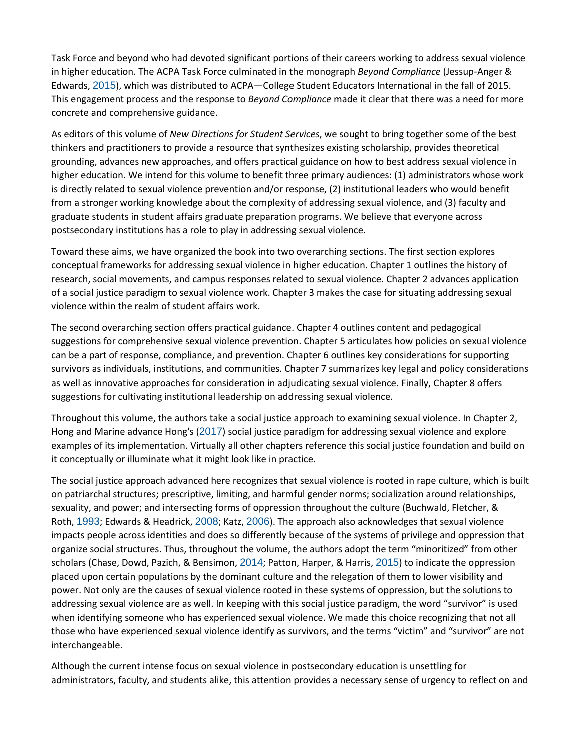Task Force and beyond who had devoted significant portions of their careers working to address sexual violence in higher education. The ACPA Task Force culminated in the monograph *Beyond Compliance* (Jessup‐Anger & Edwards, [2015](https://onlinelibrary.wiley.com/doi/full/10.1002/ss.20248#ss20248-bib-0009)), which was distributed to ACPA—College Student Educators International in the fall of 2015. This engagement process and the response to *Beyond Compliance* made it clear that there was a need for more concrete and comprehensive guidance.

As editors of this volume of *New Directions for Student Services*, we sought to bring together some of the best thinkers and practitioners to provide a resource that synthesizes existing scholarship, provides theoretical grounding, advances new approaches, and offers practical guidance on how to best address sexual violence in higher education. We intend for this volume to benefit three primary audiences: (1) administrators whose work is directly related to sexual violence prevention and/or response, (2) institutional leaders who would benefit from a stronger working knowledge about the complexity of addressing sexual violence, and (3) faculty and graduate students in student affairs graduate preparation programs. We believe that everyone across postsecondary institutions has a role to play in addressing sexual violence.

Toward these aims, we have organized the book into two overarching sections. The first section explores conceptual frameworks for addressing sexual violence in higher education. Chapter 1 outlines the history of research, social movements, and campus responses related to sexual violence. Chapter 2 advances application of a social justice paradigm to sexual violence work. Chapter 3 makes the case for situating addressing sexual violence within the realm of student affairs work.

The second overarching section offers practical guidance. Chapter 4 outlines content and pedagogical suggestions for comprehensive sexual violence prevention. Chapter 5 articulates how policies on sexual violence can be a part of response, compliance, and prevention. Chapter 6 outlines key considerations for supporting survivors as individuals, institutions, and communities. Chapter 7 summarizes key legal and policy considerations as well as innovative approaches for consideration in adjudicating sexual violence. Finally, Chapter 8 offers suggestions for cultivating institutional leadership on addressing sexual violence.

Throughout this volume, the authors take a social justice approach to examining sexual violence. In Chapter 2, Hong and Marine advance Hong's ([2017](https://onlinelibrary.wiley.com/doi/full/10.1002/ss.20248#ss20248-bib-0008)) social justice paradigm for addressing sexual violence and explore examples of its implementation. Virtually all other chapters reference this social justice foundation and build on it conceptually or illuminate what it might look like in practice.

The social justice approach advanced here recognizes that sexual violence is rooted in rape culture, which is built on patriarchal structures; prescriptive, limiting, and harmful gender norms; socialization around relationships, sexuality, and power; and intersecting forms of oppression throughout the culture (Buchwald, Fletcher, & Roth, [1993](https://onlinelibrary.wiley.com/doi/full/10.1002/ss.20248#ss20248-bib-0002); Edwards & Headrick, [2008](https://onlinelibrary.wiley.com/doi/full/10.1002/ss.20248#ss20248-bib-0005); Katz, [2006](https://onlinelibrary.wiley.com/doi/full/10.1002/ss.20248#ss20248-bib-0010)). The approach also acknowledges that sexual violence impacts people across identities and does so differently because of the systems of privilege and oppression that organize social structures. Thus, throughout the volume, the authors adopt the term "minoritized" from other scholars (Chase, Dowd, Pazich, & Bensimon, [2014](https://onlinelibrary.wiley.com/doi/full/10.1002/ss.20248#ss20248-bib-0004); Patton, Harper, & Harris, [2015](https://onlinelibrary.wiley.com/doi/full/10.1002/ss.20248#ss20248-bib-0013)) to indicate the oppression placed upon certain populations by the dominant culture and the relegation of them to lower visibility and power. Not only are the causes of sexual violence rooted in these systems of oppression, but the solutions to addressing sexual violence are as well. In keeping with this social justice paradigm, the word "survivor" is used when identifying someone who has experienced sexual violence. We made this choice recognizing that not all those who have experienced sexual violence identify as survivors, and the terms "victim" and "survivor" are not interchangeable.

Although the current intense focus on sexual violence in postsecondary education is unsettling for administrators, faculty, and students alike, this attention provides a necessary sense of urgency to reflect on and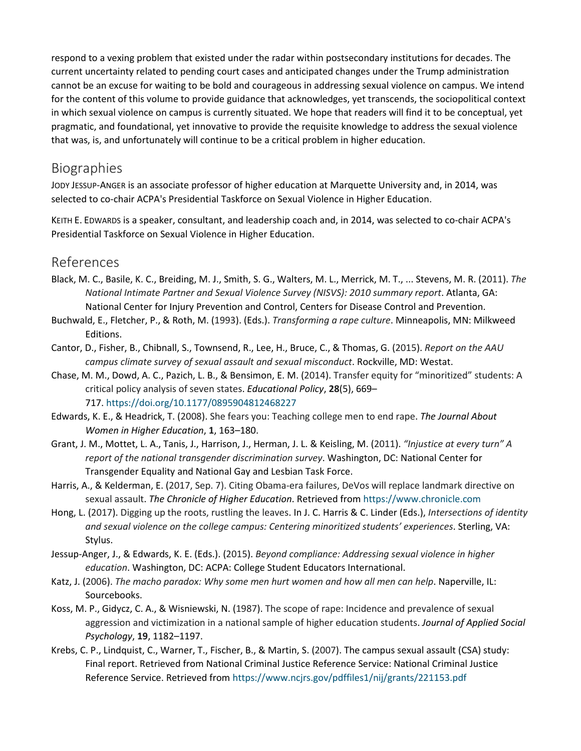respond to a vexing problem that existed under the radar within postsecondary institutions for decades. The current uncertainty related to pending court cases and anticipated changes under the Trump administration cannot be an excuse for waiting to be bold and courageous in addressing sexual violence on campus. We intend for the content of this volume to provide guidance that acknowledges, yet transcends, the sociopolitical context in which sexual violence on campus is currently situated. We hope that readers will find it to be conceptual, yet pragmatic, and foundational, yet innovative to provide the requisite knowledge to address the sexual violence that was, is, and unfortunately will continue to be a critical problem in higher education.

#### Biographies

JODY JESSUP-ANGER is an associate professor of higher education at Marquette University and, in 2014, was selected to co-chair ACPA's Presidential Taskforce on Sexual Violence in Higher Education.

KEITH E. EDWARDS is a speaker, consultant, and leadership coach and, in 2014, was selected to co-chair ACPA's Presidential Taskforce on Sexual Violence in Higher Education.

#### References

- Black, M. C., Basile, K. C., Breiding, M. J., Smith, S. G., Walters, M. L., Merrick, M. T., ... Stevens, M. R. (2011). *The National Intimate Partner and Sexual Violence Survey (NISVS): 2010 summary report*. Atlanta, GA: National Center for Injury Prevention and Control, Centers for Disease Control and Prevention.
- Buchwald, E., Fletcher, P., & Roth, M. (1993). (Eds.). *Transforming a rape culture*. Minneapolis, MN: Milkweed Editions.
- Cantor, D., Fisher, B., Chibnall, S., Townsend, R., Lee, H., Bruce, C., & Thomas, G. (2015). *Report on the AAU campus climate survey of sexual assault and sexual misconduct*. Rockville, MD: Westat.
- Chase, M. M., Dowd, A. C., Pazich, L. B., & Bensimon, E. M. (2014). Transfer equity for "minoritized" students: A critical policy analysis of seven states. *Educational Policy*, **28**(5), 669– 717. <https://doi.org/10.1177/0895904812468227>
- Edwards, K. E., & Headrick, T. (2008). She fears you: Teaching college men to end rape. *The Journal About Women in Higher Education*, **1**, 163–180.
- Grant, J. M., Mottet, L. A., Tanis, J., Harrison, J., Herman, J. L. & Keisling, M. (2011). *"Injustice at every turn" A report of the national transgender discrimination survey*. Washington, DC: National Center for Transgender Equality and National Gay and Lesbian Task Force.
- Harris, A., & Kelderman, E. (2017, Sep. 7). Citing Obama-era failures, DeVos will replace landmark directive on sexual assault. *The Chronicle of Higher Education*. Retrieved from [https://www.chronicle.com](https://www.chronicle.com/)
- Hong, L. (2017). Digging up the roots, rustling the leaves. In J. C. Harris & C. Linder (Eds.), *Intersections of identity and sexual violence on the college campus: Centering minoritized students' experiences*. Sterling, VA: Stylus.
- Jessup-Anger, J., & Edwards, K. E. (Eds.). (2015). *Beyond compliance: Addressing sexual violence in higher education*. Washington, DC: ACPA: College Student Educators International.
- Katz, J. (2006). *The macho paradox: Why some men hurt women and how all men can help*. Naperville, IL: Sourcebooks.
- Koss, M. P., Gidycz, C. A., & Wisniewski, N. (1987). The scope of rape: Incidence and prevalence of sexual aggression and victimization in a national sample of higher education students. *Journal of Applied Social Psychology*, **19**, 1182–1197.
- Krebs, C. P., Lindquist, C., Warner, T., Fischer, B., & Martin, S. (2007). The campus sexual assault (CSA) study: Final report. Retrieved from National Criminal Justice Reference Service: National Criminal Justice Reference Service. Retrieved from <https://www.ncjrs.gov/pdffiles1/nij/grants/221153.pdf>